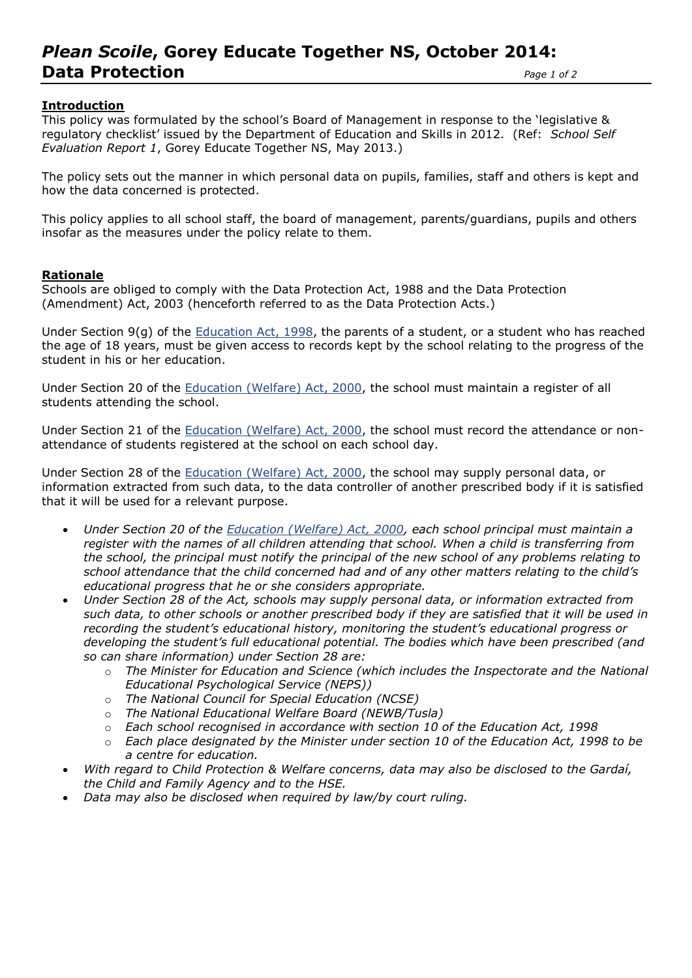# *Plean Scoile***, Gorey Educate Together NS, October 2014: Data Protection** *Page 1 of 2*

## **Introduction**

This policy was formulated by the school's Board of Management in response to the 'legislative & regulatory checklist' issued by the Department of Education and Skills in 2012. (Ref: *School Self Evaluation Report 1*, Gorey Educate Together NS, May 2013.)

The policy sets out the manner in which personal data on pupils, families, staff and others is kept and how the data concerned is protected.

This policy applies to all school staff, the board of management, parents/guardians, pupils and others insofar as the measures under the policy relate to them.

## **Rationale**

Schools are obliged to comply with the Data Protection Act, 1988 and the Data Protection (Amendment) Act, 2003 (henceforth referred to as the Data Protection Acts.)

Under Section 9(g) of the [Education Act, 1998,](http://acts2.oireachtas.ie/zza51y1998.1.html) the parents of a student, or a student who has reached the age of 18 years, must be given access to records kept by the school relating to the progress of the student in his or her education.

Under Section 20 of the [Education \(Welfare\) Act, 2000,](http://www.oireachtas.ie/documents/bills28/acts/2000/a2200.pdf) the school must maintain a register of all students attending the school.

Under Section 21 of the [Education \(Welfare\) Act, 2000,](http://www.oireachtas.ie/documents/bills28/acts/2000/a2200.pdf) the school must record the attendance or nonattendance of students registered at the school on each school day.

Under Section 28 of the [Education \(Welfare\) Act, 2000,](http://www.oireachtas.ie/documents/bills28/acts/2000/a2200.pdf) the school may supply personal data, or information extracted from such data, to the data controller of another prescribed body if it is satisfied that it will be used for a relevant purpose.

- *Under Section 20 of the [Education \(Welfare\) Act, 2000,](http://www.oireachtas.ie/documents/bills28/acts/2000/a2200.pdf) each school principal must maintain a register with the names of all children attending that school. When a child is transferring from the school, the principal must notify the principal of the new school of any problems relating to school attendance that the child concerned had and of any other matters relating to the child's educational progress that he or she considers appropriate.*
- *Under Section 28 of the Act, schools may supply personal data, or information extracted from such data, to other schools or another prescribed body if they are satisfied that it will be used in recording the student's educational history, monitoring the student's educational progress or developing the student's full educational potential. The bodies which have been prescribed (and so can share information) under Section 28 are:* 
	- o *The Minister for Education and Science (which includes the Inspectorate and the National Educational Psychological Service (NEPS))*
	- o *The National Council for Special Education (NCSE)*
	- o *The National Educational Welfare Board (NEWB/Tusla)*
	- o *Each school recognised in accordance with section 10 of the Education Act, 1998*
	- o *Each place designated by the Minister under section 10 of the Education Act, 1998 to be a centre for education.*
- *With regard to Child Protection & Welfare concerns, data may also be disclosed to the Gardaí, the Child and Family Agency and to the HSE.*
- *Data may also be disclosed when required by law/by court ruling.*